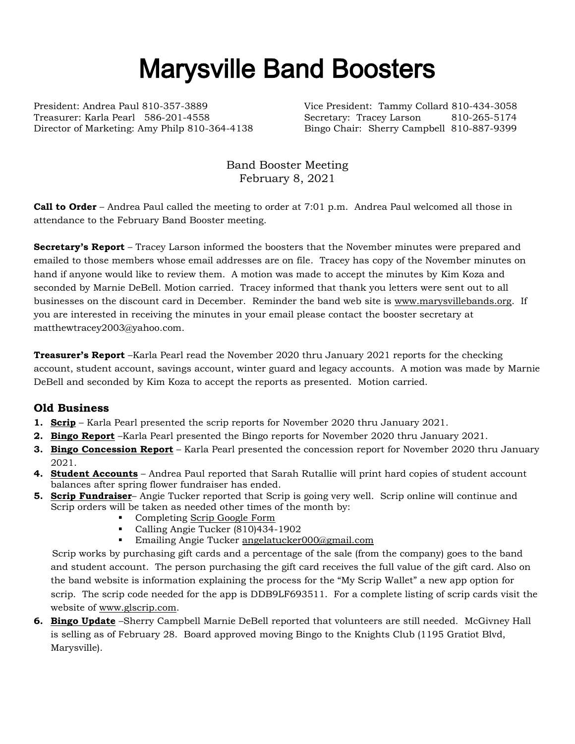## Marysville Band Boosters

President: Andrea Paul 810-357-3889 Vice President: Tammy Collard 810-434-3058 Treasurer: Karla Pearl 586-201-4558 Secretary: Tracey Larson 810-265-5174 Director of Marketing: Amy Philp 810-364-4138 Bingo Chair: Sherry Campbell 810-887-9399

Band Booster Meeting February 8, 2021

**Call to Order** – Andrea Paul called the meeting to order at 7:01 p.m. Andrea Paul welcomed all those in attendance to the February Band Booster meeting.

**Secretary's Report** – Tracey Larson informed the boosters that the November minutes were prepared and emailed to those members whose email addresses are on file. Tracey has copy of the November minutes on hand if anyone would like to review them. A motion was made to accept the minutes by Kim Koza and seconded by Marnie DeBell. Motion carried. Tracey informed that thank you letters were sent out to all businesses on the discount card in December. Reminder the band web site is [www.marysvillebands.org.](http://www.marysvillebands.org/) If you are interested in receiving the minutes in your email please contact the booster secretary at matthewtracey2003@yahoo.com.

**Treasurer's Report** –Karla Pearl read the November 2020 thru January 2021 reports for the checking account, student account, savings account, winter guard and legacy accounts. A motion was made by Marnie DeBell and seconded by Kim Koza to accept the reports as presented. Motion carried.

## **Old Business**

- **1. Scrip** Karla Pearl presented the scrip reports for November 2020 thru January 2021.
- **2. Bingo Report** –Karla Pearl presented the Bingo reports for November 2020 thru January 2021.
- **3. Bingo Concession Report** Karla Pearl presented the concession report for November 2020 thru January 2021.
- **4. Student Accounts** Andrea Paul reported that Sarah Rutallie will print hard copies of student account balances after spring flower fundraiser has ended.
- **5. Scrip Fundraiser** Angie Tucker reported that Scrip is going very well. Scrip online will continue and Scrip orders will be taken as needed other times of the month by:
	- Completing [Scrip Google Form](https://forms.gle/Ryvw2wHxTdg1j3Yj6)
	- Calling Angie Tucker (810)434-1902
	- **Emailing Angie Tucker [angelatucker000@gmail.com](mailto:angelatucker000@gmail.com)**

Scrip works by purchasing gift cards and a percentage of the sale (from the company) goes to the band and student account. The person purchasing the gift card receives the full value of the gift card. Also on the band website is information explaining the process for the "My Scrip Wallet" a new app option for scrip. The scrip code needed for the app is DDB9LF693511. For a complete listing of scrip cards visit the website of [www.glscrip.com.](http://www.glscrip.com/)

**6. Bingo Update** –Sherry Campbell Marnie DeBell reported that volunteers are still needed. McGivney Hall is selling as of February 28. Board approved moving Bingo to the Knights Club (1195 Gratiot Blvd, Marysville).